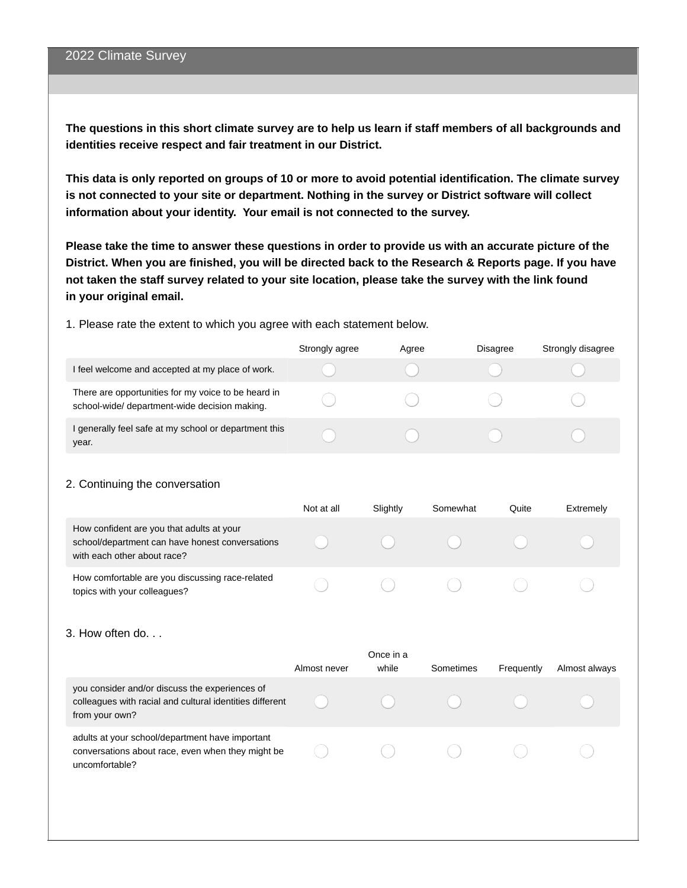The questions in this short climate survey are to help us learn if staff members of all backgrounds and **identities receive respect and fair treatment in our District.**

This data is only reported on groups of 10 or more to avoid potential identification. The climate survey **is not connected to your site or department. Nothing in the survey or District software will collect information about your identity. Your email is not connected to the survey.**

Please take the time to answer these questions in order to provide us with an accurate picture of the District. When you are finished, you will be directed back to the Research & Reports page. If you have not taken the staff survey related to your site location, please take the survey with the link found **in your original email.**

1. Please rate the extent to which you agree with each statement below.

|                                                                                                      | Strongly agree | Agree | <b>Disagree</b> | Strongly disagree |
|------------------------------------------------------------------------------------------------------|----------------|-------|-----------------|-------------------|
| I feel welcome and accepted at my place of work.                                                     |                |       |                 |                   |
| There are opportunities for my voice to be heard in<br>school-wide/ department-wide decision making. |                |       |                 |                   |
| I generally feel safe at my school or department this<br>year.                                       |                |       |                 |                   |

### 2. Continuing the conversation

|                                                                                                                             | Not at all | Slightly | Somewhat | Ouite | Extremely |
|-----------------------------------------------------------------------------------------------------------------------------|------------|----------|----------|-------|-----------|
| How confident are you that adults at your<br>school/department can have honest conversations<br>with each other about race? |            |          |          |       |           |
| How comfortable are you discussing race-related<br>topics with your colleagues?                                             |            |          |          |       |           |

#### 3. How often do. . .

|                                                                                                                              | Almost never | Once in a<br>while | Sometimes | Frequently | Almost always |
|------------------------------------------------------------------------------------------------------------------------------|--------------|--------------------|-----------|------------|---------------|
| you consider and/or discuss the experiences of<br>colleagues with racial and cultural identities different<br>from your own? |              |                    |           |            |               |
| adults at your school/department have important<br>conversations about race, even when they might be<br>uncomfortable?       |              |                    |           |            |               |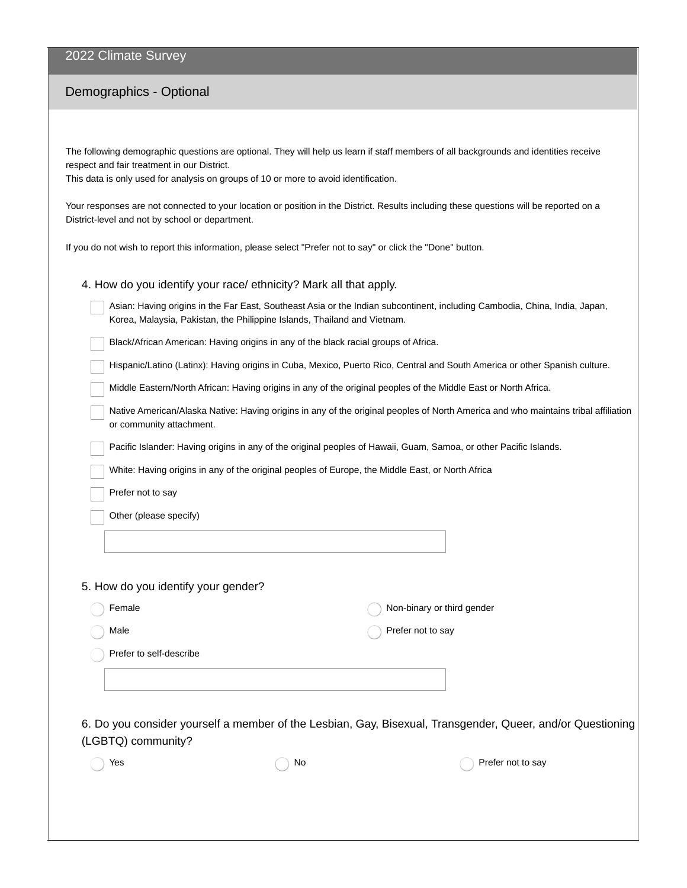## 2022 Climate Survey

# Demographics - Optional

The following demographic questions are optional. They will help us learn if staff members of all backgrounds and identities receive respect and fair treatment in our District.

This data is only used for analysis on groups of 10 or more to avoid identification.

Your responses are not connected to your location or position in the District. Results including these questions will be reported on a District-level and not by school or department.

If you do not wish to report this information, please select "Prefer not to say" or click the "Done" button.

| 4. How do you identify your race/ ethnicity? Mark all that apply. |
|-------------------------------------------------------------------|
|-------------------------------------------------------------------|

| Asian: Having origins in the Far East, Southeast Asia or the Indian subcontinent, including Cambodia, China, India, Japan, |
|----------------------------------------------------------------------------------------------------------------------------|
| Korea, Malaysia, Pakistan, the Philippine Islands, Thailand and Vietnam.                                                   |

Black/African American: Having origins in any of the black racial groups of Africa.

Hispanic/Latino (Latinx): Having origins in Cuba, Mexico, Puerto Rico, Central and South America or other Spanish culture.

Middle Eastern/North African: Having origins in any of the original peoples of the Middle East or North Africa.

| Native American/Alaska Native: Having origins in any of the original peoples of North America and who maintains tribal affiliation |
|------------------------------------------------------------------------------------------------------------------------------------|
| or community attachment.                                                                                                           |

Pacific Islander: Having origins in any of the original peoples of Hawaii, Guam, Samoa, or other Pacific Islands.

White: Having origins in any of the original peoples of Europe, the Middle East, or North Africa

Prefer not to say

Other (please specify)

### 5. How do you identify your gender?

| Female                  | Non-binary or third gender |
|-------------------------|----------------------------|
| Male                    | Prefer not to say          |
| Prefer to self-describe |                            |
|                         |                            |

6. Do you consider yourself a member of the Lesbian, Gay, Bisexual, Transgender, Queer, and/or Questioning (LGBTQ) community?

| Yes | ∖ No | Prefer not to say |
|-----|------|-------------------|
|     |      |                   |